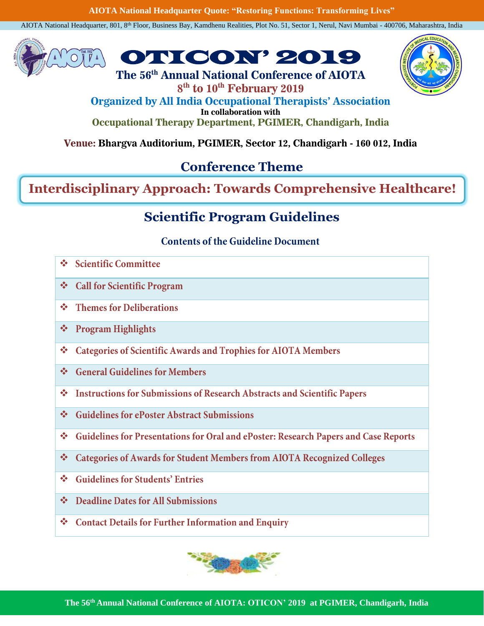**AIOTA National Headquarter Quote: "Restoring Functions: Transforming Lives"**

AIOTA National Headquarter, 801, 8th Floor, Business Bay, Kamdhenu Realities, Plot No. 51, Sector 1, Nerul, Navi Mumbai - 400706, Maharashtra, India





**8 th to 10th February 2019 Organized by All India Occupational Therapists' Association In collaboration with Occupational Therapy Department, PGIMER, Chandigarh, India**

# **Venue: Bhargva Auditorium, PGIMER, Sector 12, Chandigarh - 160 012, India**

## **Conference Theme**

## **Interdisciplinary Approach: Towards Comprehensive Healthcare!**

## **Scientific Program Guidelines**

## **Contents of the Guideline Document**

- $\mathcal{L}_{\mathcal{A}}$ **Scientific Committee**
- ❖ Call for Scientific Program
- **Themes for Deliberations**  $\mathbf{e}_\mathbf{a}^\mathbf{e}$
- **Program Highlights**  $\mathcal{L}_{\mathbf{a}}$
- **Categories of Scientific Awards and Trophies for AIOTA Members**  $\mathcal{L}_{\mathcal{A}}$
- ❖ General Guidelines for Members
- **Instructions for Submissions of Research Abstracts and Scientific Papers**  $\frac{1}{2}$
- **Guidelines for ePoster Abstract Submissions**  $\Phi_{\mathbf{q}}^{\mathbf{p}}\Phi$
- Guidelines for Presentations for Oral and ePoster: Research Papers and Case Reports  $\Phi_{\rm eff}^{\rm R}$
- **Categories of Awards for Student Members from AIOTA Recognized Colleges**  $\mathcal{L}_{\mathcal{S}^{\mathcal{S}}}^{\mathcal{S}_{\mathcal{S}}}$
- **Guidelines for Students' Entries**  $\mathbf{e}_\mathrm{a}^\mathrm{p}$
- ❖ Deadline Dates for All Submissions
- ❖ Contact Details for Further Information and Enquiry

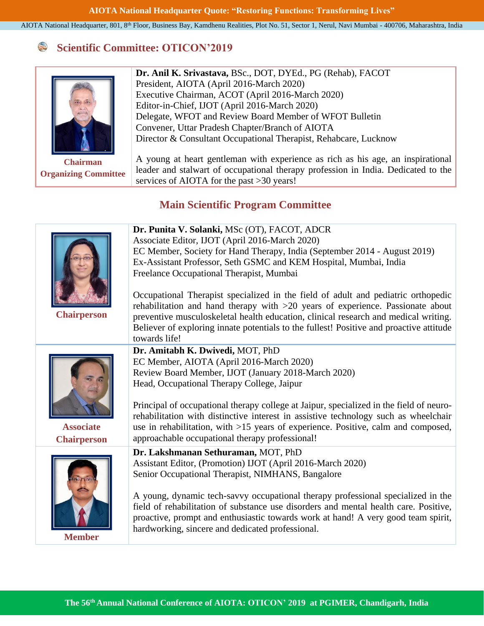### **Scientific Committee: OTICON'2019**



**Chairman Organizing Committee** **Dr. Anil K. Srivastava,** BSc., DOT, DYEd., PG (Rehab), FACOT President, AIOTA (April 2016-March 2020) Executive Chairman, ACOT (April 2016-March 2020) Editor-in-Chief, IJOT (April 2016-March 2020) Delegate, WFOT and Review Board Member of WFOT Bulletin Convener, Uttar Pradesh Chapter/Branch of AIOTA Director & Consultant Occupational Therapist, Rehabcare, Lucknow

A young at heart gentleman with experience as rich as his age, an inspirational leader and stalwart of occupational therapy profession in India. Dedicated to the services of AIOTA for the past >30 years!

## **Main Scientific Program Committee**

|                    | Dr. Punita V. Solanki, MSc (OT), FACOT, ADCR                                                                                          |
|--------------------|---------------------------------------------------------------------------------------------------------------------------------------|
|                    | Associate Editor, IJOT (April 2016-March 2020)                                                                                        |
|                    | EC Member, Society for Hand Therapy, India (September 2014 - August 2019)                                                             |
|                    | Ex-Assistant Professor, Seth GSMC and KEM Hospital, Mumbai, India                                                                     |
|                    | Freelance Occupational Therapist, Mumbai                                                                                              |
|                    | Occupational Therapist specialized in the field of adult and pediatric orthopedic                                                     |
|                    | rehabilitation and hand therapy with $>20$ years of experience. Passionate about                                                      |
| <b>Chairperson</b> | preventive musculoskeletal health education, clinical research and medical writing.                                                   |
|                    | Believer of exploring innate potentials to the fullest! Positive and proactive attitude                                               |
|                    | towards life!                                                                                                                         |
|                    | Dr. Amitabh K. Dwivedi, MOT, PhD                                                                                                      |
|                    | EC Member, AIOTA (April 2016-March 2020)                                                                                              |
|                    | Review Board Member, IJOT (January 2018-March 2020)                                                                                   |
|                    | Head, Occupational Therapy College, Jaipur                                                                                            |
|                    |                                                                                                                                       |
|                    | Principal of occupational therapy college at Jaipur, specialized in the field of neuro-                                               |
|                    | rehabilitation with distinctive interest in assistive technology such as wheelchair                                                   |
| <b>Associate</b>   | use in rehabilitation, with >15 years of experience. Positive, calm and composed,                                                     |
| <b>Chairperson</b> | approachable occupational therapy professional!                                                                                       |
|                    | Dr. Lakshmanan Sethuraman, MOT, PhD                                                                                                   |
|                    | Assistant Editor, (Promotion) IJOT (April 2016-March 2020)                                                                            |
|                    | Senior Occupational Therapist, NIMHANS, Bangalore                                                                                     |
|                    |                                                                                                                                       |
|                    | A young, dynamic tech-savvy occupational therapy professional specialized in the                                                      |
|                    | field of rehabilitation of substance use disorders and mental health care. Positive,                                                  |
|                    | proactive, prompt and enthusiastic towards work at hand! A very good team spirit,<br>hardworking, sincere and dedicated professional. |
| <b>Member</b>      |                                                                                                                                       |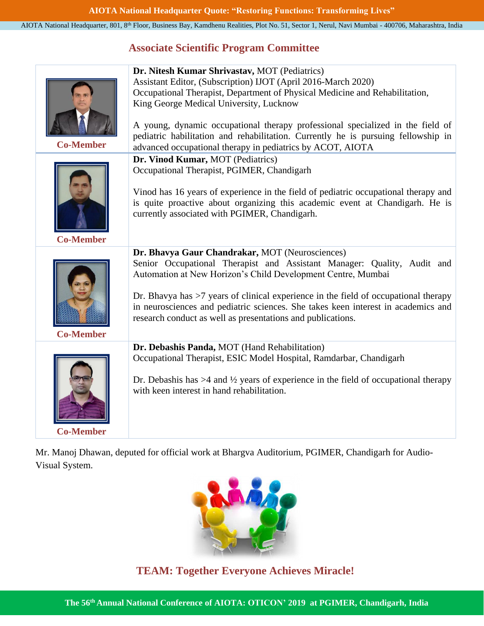## **Associate Scientific Program Committee**

|                                                                                | Dr. Nitesh Kumar Shrivastav, MOT (Pediatrics)                                                    |  |  |  |
|--------------------------------------------------------------------------------|--------------------------------------------------------------------------------------------------|--|--|--|
|                                                                                | Assistant Editor, (Subscription) IJOT (April 2016-March 2020)                                    |  |  |  |
|                                                                                | Occupational Therapist, Department of Physical Medicine and Rehabilitation,                      |  |  |  |
|                                                                                | King George Medical University, Lucknow                                                          |  |  |  |
|                                                                                |                                                                                                  |  |  |  |
|                                                                                | A young, dynamic occupational therapy professional specialized in the field of                   |  |  |  |
|                                                                                | pediatric habilitation and rehabilitation. Currently he is pursuing fellowship in                |  |  |  |
| <b>Co-Member</b><br>advanced occupational therapy in pediatrics by ACOT, AIOTA |                                                                                                  |  |  |  |
|                                                                                | Dr. Vinod Kumar, MOT (Pediatrics)                                                                |  |  |  |
|                                                                                | Occupational Therapist, PGIMER, Chandigarh                                                       |  |  |  |
|                                                                                |                                                                                                  |  |  |  |
|                                                                                | Vinod has 16 years of experience in the field of pediatric occupational therapy and              |  |  |  |
|                                                                                | is quite proactive about organizing this academic event at Chandigarh. He is                     |  |  |  |
|                                                                                | currently associated with PGIMER, Chandigarh.                                                    |  |  |  |
|                                                                                |                                                                                                  |  |  |  |
| <b>Co-Member</b>                                                               |                                                                                                  |  |  |  |
|                                                                                | Dr. Bhavya Gaur Chandrakar, MOT (Neurosciences)                                                  |  |  |  |
|                                                                                | Senior Occupational Therapist and Assistant Manager: Quality, Audit and                          |  |  |  |
|                                                                                | Automation at New Horizon's Child Development Centre, Mumbai                                     |  |  |  |
|                                                                                | Dr. Bhavya has $>7$ years of clinical experience in the field of occupational therapy            |  |  |  |
|                                                                                | in neurosciences and pediatric sciences. She takes keen interest in academics and                |  |  |  |
|                                                                                | research conduct as well as presentations and publications.                                      |  |  |  |
|                                                                                |                                                                                                  |  |  |  |
| <b>Co-Member</b>                                                               |                                                                                                  |  |  |  |
|                                                                                | Dr. Debashis Panda, MOT (Hand Rehabilitation)                                                    |  |  |  |
|                                                                                | Occupational Therapist, ESIC Model Hospital, Ramdarbar, Chandigarh                               |  |  |  |
|                                                                                |                                                                                                  |  |  |  |
|                                                                                | Dr. Debashis has $>4$ and $\frac{1}{2}$ years of experience in the field of occupational therapy |  |  |  |
|                                                                                | with keen interest in hand rehabilitation.                                                       |  |  |  |
|                                                                                |                                                                                                  |  |  |  |
|                                                                                |                                                                                                  |  |  |  |
| <b>Co-Member</b>                                                               |                                                                                                  |  |  |  |

Mr. Manoj Dhawan, deputed for official work at Bhargva Auditorium, PGIMER, Chandigarh for Audio-Visual System.



**TEAM: Together Everyone Achieves Miracle!**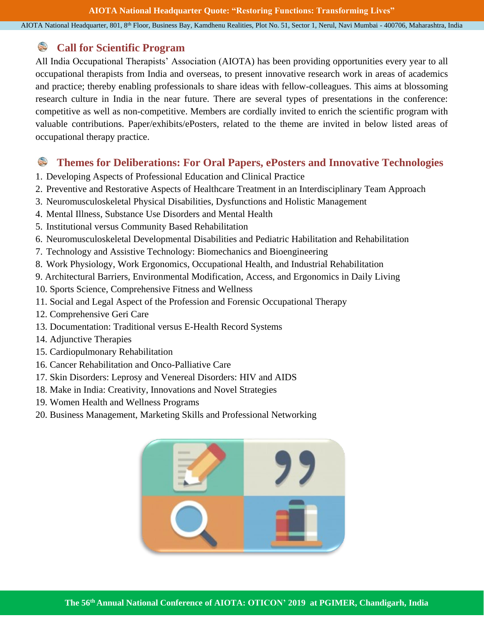### **Call for Scientific Program**

All India Occupational Therapists' Association (AIOTA) has been providing opportunities every year to all occupational therapists from India and overseas, to present innovative research work in areas of academics and practice; thereby enabling professionals to share ideas with fellow-colleagues. This aims at blossoming research culture in India in the near future. There are several types of presentations in the conference: competitive as well as non-competitive. Members are cordially invited to enrich the scientific program with valuable contributions. Paper/exhibits/ePosters, related to the theme are invited in below listed areas of occupational therapy practice.

### S **Themes for Deliberations: For Oral Papers, ePosters and Innovative Technologies**

- 1. Developing Aspects of Professional Education and Clinical Practice
- 2. Preventive and Restorative Aspects of Healthcare Treatment in an Interdisciplinary Team Approach
- 3. Neuromusculoskeletal Physical Disabilities, Dysfunctions and Holistic Management
- 4. Mental Illness, Substance Use Disorders and Mental Health
- 5. Institutional versus Community Based Rehabilitation
- 6. Neuromusculoskeletal Developmental Disabilities and Pediatric Habilitation and Rehabilitation
- 7. Technology and Assistive Technology: Biomechanics and Bioengineering
- 8. Work Physiology, Work Ergonomics, Occupational Health, and Industrial Rehabilitation
- 9. Architectural Barriers, Environmental Modification, Access, and Ergonomics in Daily Living
- 10. Sports Science, Comprehensive Fitness and Wellness
- 11. Social and Legal Aspect of the Profession and Forensic Occupational Therapy
- 12. Comprehensive Geri Care
- 13. Documentation: Traditional versus E-Health Record Systems
- 14. Adjunctive Therapies
- 15. Cardiopulmonary Rehabilitation
- 16. Cancer Rehabilitation and Onco-Palliative Care
- 17. Skin Disorders: Leprosy and Venereal Disorders: HIV and AIDS
- 18. Make in India: Creativity, Innovations and Novel Strategies
- 19. Women Health and Wellness Programs
- 20. Business Management, Marketing Skills and Professional Networking

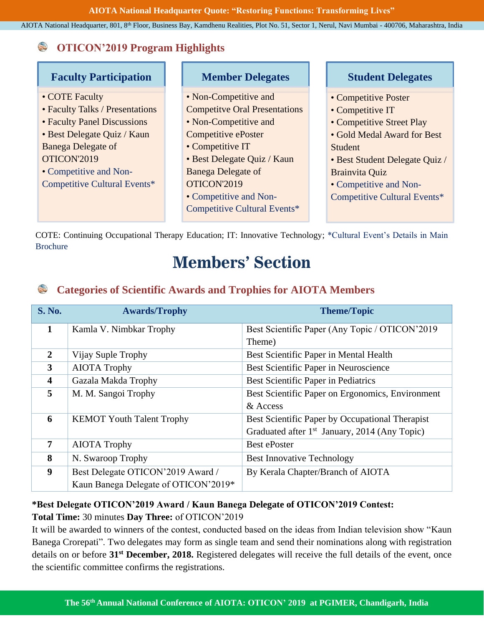**AIOTA National Headquarter Quote: "Restoring Functions: Transforming Lives"**

AIOTA National Headquarter, 801, 8th Floor, Business Bay, Kamdhenu Realities, Plot No. 51, Sector 1, Nerul, Navi Mumbai - 400706, Maharashtra, India

### **OTICON'2019 Program Highlights** S

| <b>Faculty Participation</b>                                                                                                                                                                                          | <b>Member Delegates</b>                                                                                                                                                                                                                                                | <b>Student Delegates</b>                                                                                                                                                                                                      |
|-----------------------------------------------------------------------------------------------------------------------------------------------------------------------------------------------------------------------|------------------------------------------------------------------------------------------------------------------------------------------------------------------------------------------------------------------------------------------------------------------------|-------------------------------------------------------------------------------------------------------------------------------------------------------------------------------------------------------------------------------|
| • COTE Faculty<br>• Faculty Talks / Presentations<br>• Faculty Panel Discussions<br>• Best Delegate Quiz / Kaun<br><b>Banega Delegate of</b><br>OTICON'2019<br>• Competitive and Non-<br>Competitive Cultural Events* | • Non-Competitive and<br><b>Competitve Oral Presentations</b><br>• Non-Competitive and<br>Competitive ePoster<br>• Competitive IT<br>• Best Delegate Quiz / Kaun<br><b>Banega Delegate of</b><br>OTICON'2019<br>• Competitive and Non-<br>Competitive Cultural Events* | • Competitive Poster<br>• Competitive IT<br>• Competitive Street Play<br>• Gold Medal Award for Best<br>Student<br>• Best Student Delegate Quiz /<br>Brainvita Quiz<br>• Competitive and Non-<br>Competitive Cultural Events* |

COTE: Continuing Occupational Therapy Education; IT: Innovative Technology; \*Cultural Event's Details in Main Brochure

# **Members' Section**

### **Categories of Scientific Awards and Trophies for AIOTA Members**  $\mathbb{S}$

| <b>S. No.</b>           | <b>Awards/Trophy</b>                 | <b>Theme/Topic</b>                               |  |
|-------------------------|--------------------------------------|--------------------------------------------------|--|
| 1                       | Kamla V. Nimbkar Trophy              | Best Scientific Paper (Any Topic / OTICON'2019   |  |
|                         |                                      | Theme)                                           |  |
| $\overline{2}$          | Vijay Suple Trophy                   | Best Scientific Paper in Mental Health           |  |
| 3                       | <b>AIOTA Trophy</b>                  | Best Scientific Paper in Neuroscience            |  |
| $\overline{\mathbf{4}}$ | Gazala Makda Trophy                  | Best Scientific Paper in Pediatrics              |  |
| 5                       | M. M. Sangoi Trophy                  | Best Scientific Paper on Ergonomics, Environment |  |
|                         |                                      | & Access                                         |  |
| 6                       | <b>KEMOT Youth Talent Trophy</b>     | Best Scientific Paper by Occupational Therapist  |  |
|                         |                                      | Graduated after $1st$ January, 2014 (Any Topic)  |  |
| 7                       | <b>AIOTA Trophy</b>                  | <b>Best ePoster</b>                              |  |
| 8                       | N. Swaroop Trophy                    | <b>Best Innovative Technology</b>                |  |
| $\boldsymbol{9}$        | Best Delegate OTICON'2019 Award /    | By Kerala Chapter/Branch of AIOTA                |  |
|                         | Kaun Banega Delegate of OTICON'2019* |                                                  |  |

## **\*Best Delegate OTICON'2019 Award / Kaun Banega Delegate of OTICON'2019 Contest: Total Time:** 30 minutes **Day Three:** of OTICON'2019

It will be awarded to winners of the contest, conducted based on the ideas from Indian television show "Kaun Banega Crorepati". Two delegates may form as single team and send their nominations along with registration details on or before **31st December, 2018.** Registered delegates will receive the full details of the event, once the scientific committee confirms the registrations.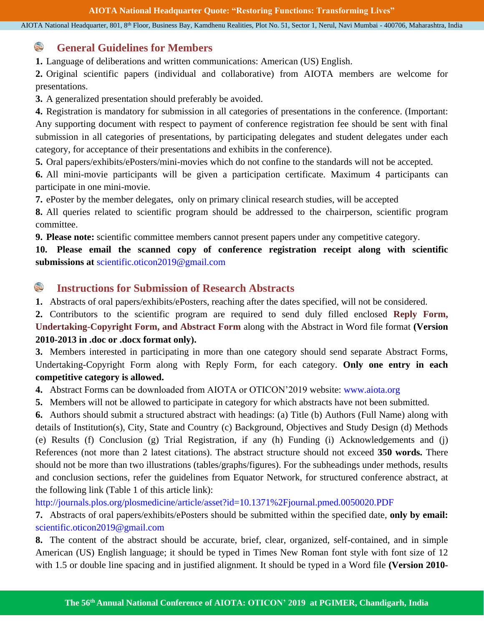#### S **General Guidelines for Members**

**1.** Language of deliberations and written communications: American (US) English.

**2.** Original scientific papers (individual and collaborative) from AIOTA members are welcome for presentations.

**3.** A generalized presentation should preferably be avoided.

**4.** Registration is mandatory for submission in all categories of presentations in the conference. (Important: Any supporting document with respect to payment of conference registration fee should be sent with final submission in all categories of presentations, by participating delegates and student delegates under each category, for acceptance of their presentations and exhibits in the conference).

**5.** Oral papers/exhibits/ePosters/mini-movies which do not confine to the standards will not be accepted.

**6.** All mini-movie participants will be given a participation certificate. Maximum 4 participants can participate in one mini-movie.

**7.** ePoster by the member delegates, only on primary clinical research studies, will be accepted

**8.** All queries related to scientific program should be addressed to the chairperson, scientific program committee.

**9. Please note:** scientific committee members cannot present papers under any competitive category.

**10. Please email the scanned copy of conference registration receipt along with scientific submissions at** [scientific.oticon2019@gmail.com](mailto:scientific.oticon2019@gmail.com)

#### S **Instructions for Submission of Research Abstracts**

**1.** Abstracts of oral papers/exhibits/ePosters, reaching after the dates specified, will not be considered.

**2.** Contributors to the scientific program are required to send duly filled enclosed **Reply Form, Undertaking-Copyright Form, and Abstract Form** along with the Abstract in Word file format **(Version 2010-2013 in .doc or .docx format only).**

**3.** Members interested in participating in more than one category should send separate Abstract Forms, Undertaking-Copyright Form along with Reply Form, for each category. **Only one entry in each competitive category is allowed.**

**4.** Abstract Forms can be downloaded from AIOTA or OTICON'2019 website: [www.aiota.org](http://www.aiota.org/)

**5.** Members will not be allowed to participate in category for which abstracts have not been submitted.

**6.** Authors should submit a structured abstract with headings: (a) Title (b) Authors (Full Name) along with details of Institution(s), City, State and Country (c) Background, Objectives and Study Design (d) Methods (e) Results (f) Conclusion (g) Trial Registration, if any (h) Funding (i) Acknowledgements and (j) References (not more than 2 latest citations). The abstract structure should not exceed **350 words.** There should not be more than two illustrations (tables/graphs/figures). For the subheadings under methods, results and conclusion sections, refer the guidelines from Equator Network, for structured conference abstract, at the following link (Table 1 of this article link):

<http://journals.plos.org/plosmedicine/article/asset?id=10.1371%2Fjournal.pmed.0050020.PDF>

**7.** Abstracts of oral papers/exhibits/ePosters should be submitted within the specified date, **only by email:** [scientific.oticon2019@gmail.com](mailto:scientific.oticon2019@gmail.com)

**8.** The content of the abstract should be accurate, brief, clear, organized, self-contained, and in simple American (US) English language; it should be typed in Times New Roman font style with font size of 12 with 1.5 or double line spacing and in justified alignment. It should be typed in a Word file **(Version 2010-**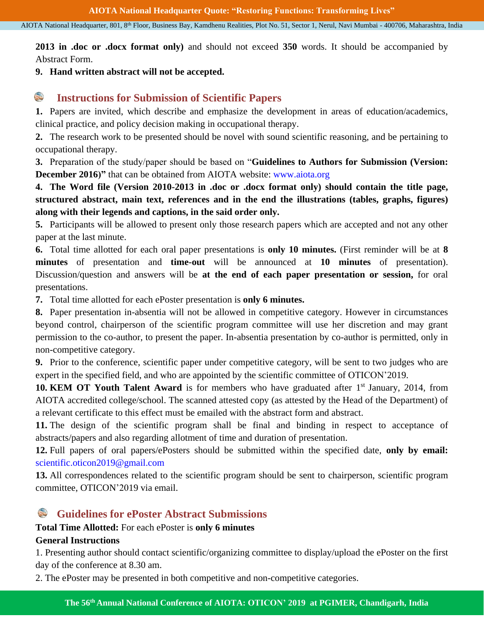**2013 in .doc or .docx format only)** and should not exceed **350** words. It should be accompanied by Abstract Form.

**9. Hand written abstract will not be accepted.** 

#### **Instructions for Submission of Scientific Papers**

**1.** Papers are invited, which describe and emphasize the development in areas of education/academics, clinical practice, and policy decision making in occupational therapy.

**2.** The research work to be presented should be novel with sound scientific reasoning, and be pertaining to occupational therapy.

**3.** Preparation of the study/paper should be based on "**Guidelines to Authors for Submission (Version: December 2016)"** that can be obtained from AIOTA website: [www.aiota.org](http://www.aiota.org/)

**4. The Word file (Version 2010-2013 in .doc or .docx format only) should contain the title page, structured abstract, main text, references and in the end the illustrations (tables, graphs, figures) along with their legends and captions, in the said order only.**

**5.** Participants will be allowed to present only those research papers which are accepted and not any other paper at the last minute.

**6.** Total time allotted for each oral paper presentations is **only 10 minutes.** (First reminder will be at **8 minutes** of presentation and **time-out** will be announced at **10 minutes** of presentation). Discussion/question and answers will be **at the end of each paper presentation or session,** for oral presentations.

**7.** Total time allotted for each ePoster presentation is **only 6 minutes.**

**8.** Paper presentation in-absentia will not be allowed in competitive category. However in circumstances beyond control, chairperson of the scientific program committee will use her discretion and may grant permission to the co-author, to present the paper. In-absentia presentation by co-author is permitted, only in non-competitive category.

**9.** Prior to the conference, scientific paper under competitive category, will be sent to two judges who are expert in the specified field, and who are appointed by the scientific committee of OTICON'2019.

10. KEM OT Youth Talent Award is for members who have graduated after 1<sup>st</sup> January, 2014, from AIOTA accredited college/school. The scanned attested copy (as attested by the Head of the Department) of a relevant certificate to this effect must be emailed with the abstract form and abstract.

**11.** The design of the scientific program shall be final and binding in respect to acceptance of abstracts/papers and also regarding allotment of time and duration of presentation.

**12.** Full papers of oral papers/ePosters should be submitted within the specified date, **only by email:**  [scientific.oticon2019@gmail.com](mailto:scientific.oticon2019@gmail.com)

**13.** All correspondences related to the scientific program should be sent to chairperson, scientific program committee, OTICON'2019 via email.

## **Guidelines for ePoster Abstract Submissions**

## **Total Time Allotted:** For each ePoster is **only 6 minutes**

### **General Instructions**

1. Presenting author should contact scientific/organizing committee to display/upload the ePoster on the first day of the conference at 8.30 am.

2. The ePoster may be presented in both competitive and non-competitive categories.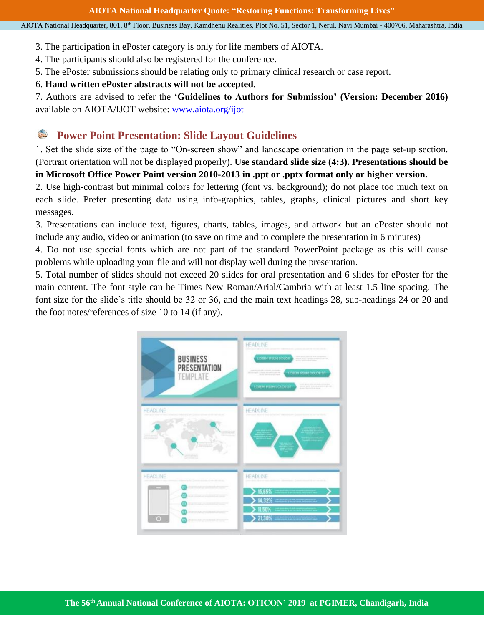- 3. The participation in ePoster category is only for life members of AIOTA.
- 4. The participants should also be registered for the conference.
- 5. The ePoster submissions should be relating only to primary clinical research or case report.

### 6. **Hand written ePoster abstracts will not be accepted.**

7. Authors are advised to refer the **'Guidelines to Authors for Submission' (Version: December 2016)** available on AIOTA/IJOT website: [www.aiota.org/ijot](http://www.aiota.org/ijot) 

### S **Power Point Presentation: Slide Layout Guidelines**

1. Set the slide size of the page to "On-screen show" and landscape orientation in the page set-up section. (Portrait orientation will not be displayed properly). **Use standard slide size (4:3). Presentations should be in Microsoft Office Power Point version 2010-2013 in .ppt or .pptx format only or higher version.**

2. Use high-contrast but minimal colors for lettering (font vs. background); do not place too much text on each slide. Prefer presenting data using info-graphics, tables, graphs, clinical pictures and short key messages.

3. Presentations can include text, figures, charts, tables, images, and artwork but an ePoster should not include any audio, video or animation (to save on time and to complete the presentation in 6 minutes)

4. Do not use special fonts which are not part of the standard PowerPoint package as this will cause problems while uploading your file and will not display well during the presentation.

5. Total number of slides should not exceed 20 slides for oral presentation and 6 slides for ePoster for the main content. The font style can be Times New Roman/Arial/Cambria with at least 1.5 line spacing. The font size for the slide's title should be 32 or 36, and the main text headings 28, sub-headings 24 or 20 and the foot notes/references of size 10 to 14 (if any).

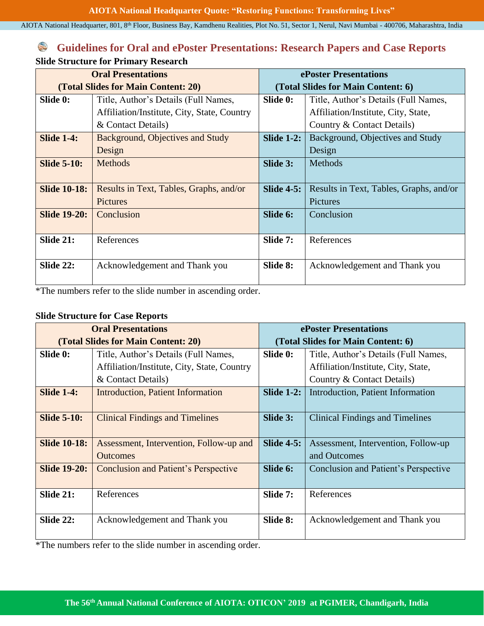## **Guidelines for Oral and ePoster Presentations: Research Papers and Case Reports Slide Structure for Primary Research**

| <b>Oral Presentations</b>           |                                             | ePoster Presentations                     |                                         |
|-------------------------------------|---------------------------------------------|-------------------------------------------|-----------------------------------------|
| (Total Slides for Main Content: 20) |                                             | (Total Slides for Main Content: 6)        |                                         |
| Slide 0:                            | Title, Author's Details (Full Names,        | Slide 0:                                  | Title, Author's Details (Full Names,    |
|                                     | Affiliation/Institute, City, State, Country |                                           | Affiliation/Institute, City, State,     |
|                                     | & Contact Details)                          | Country & Contact Details)                |                                         |
| <b>Slide 1-4:</b>                   | Background, Objectives and Study            | <b>Slide 1-2:</b>                         | Background, Objectives and Study        |
|                                     | Design                                      |                                           | Design                                  |
| <b>Slide 5-10:</b>                  | <b>Methods</b>                              | Slide 3:<br>Methods                       |                                         |
|                                     |                                             |                                           |                                         |
| <b>Slide 10-18:</b>                 | Results in Text, Tables, Graphs, and/or     | <b>Slide 4-5:</b>                         | Results in Text, Tables, Graphs, and/or |
|                                     | Pictures                                    | Pictures                                  |                                         |
| <b>Slide 19-20:</b>                 | Conclusion                                  | Slide 6:<br>Conclusion                    |                                         |
|                                     |                                             |                                           |                                         |
| Slide 21:                           | References                                  | Slide 7:                                  | References                              |
|                                     |                                             |                                           |                                         |
| Slide 22:                           | Acknowledgement and Thank you               | Acknowledgement and Thank you<br>Slide 8: |                                         |
|                                     |                                             |                                           |                                         |

\*The numbers refer to the slide number in ascending order.

### **Slide Structure for Case Reports**

| <b>Oral Presentations</b>           |                                             | <b>ePoster Presentations</b>                     |                                          |  |
|-------------------------------------|---------------------------------------------|--------------------------------------------------|------------------------------------------|--|
| (Total Slides for Main Content: 20) |                                             | (Total Slides for Main Content: 6)               |                                          |  |
| Slide 0:                            | Title, Author's Details (Full Names,        | Slide 0:<br>Title, Author's Details (Full Names, |                                          |  |
|                                     | Affiliation/Institute, City, State, Country |                                                  | Affiliation/Institute, City, State,      |  |
|                                     | & Contact Details)                          |                                                  | Country & Contact Details)               |  |
| <b>Slide 1-4:</b>                   | <b>Introduction, Patient Information</b>    | <b>Slide 1-2:</b>                                | <b>Introduction, Patient Information</b> |  |
|                                     |                                             |                                                  |                                          |  |
| <b>Slide 5-10:</b>                  | <b>Clinical Findings and Timelines</b>      | Slide 3:                                         | Clinical Findings and Timelines          |  |
|                                     |                                             |                                                  |                                          |  |
| <b>Slide 10-18:</b>                 | Assessment, Intervention, Follow-up and     | <b>Slide 4-5:</b>                                | Assessment, Intervention, Follow-up      |  |
|                                     | <b>Outcomes</b>                             | and Outcomes                                     |                                          |  |
| <b>Slide 19-20:</b>                 | <b>Conclusion and Patient's Perspective</b> | Slide 6:<br>Conclusion and Patient's Perspective |                                          |  |
|                                     |                                             |                                                  |                                          |  |
| Slide 21:                           | References                                  | Slide 7:                                         | References                               |  |
|                                     |                                             |                                                  |                                          |  |
| Slide 22:                           | Acknowledgement and Thank you               | Slide 8:<br>Acknowledgement and Thank you        |                                          |  |
|                                     |                                             |                                                  |                                          |  |

\*The numbers refer to the slide number in ascending order.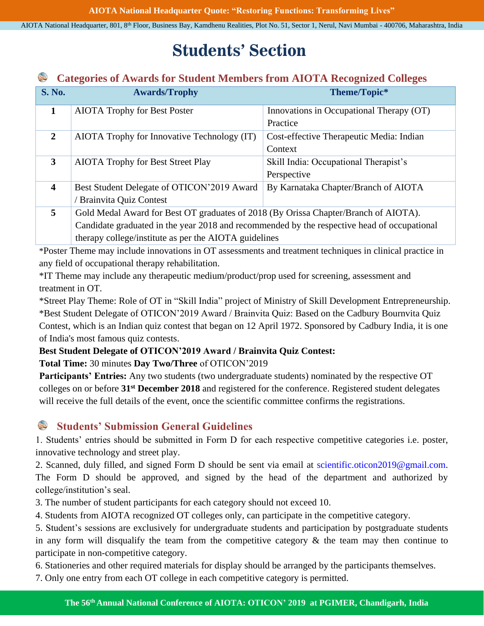# **Students' Section**

#### **Categories of Awards for Student Members from AIOTA Recognized Colleges** S

| <b>S. No.</b>           | <b>Awards/Trophy</b>                                                                        | Theme/Topic*                             |  |
|-------------------------|---------------------------------------------------------------------------------------------|------------------------------------------|--|
| $\mathbf{1}$            | <b>AIOTA Trophy for Best Poster</b>                                                         | Innovations in Occupational Therapy (OT) |  |
|                         |                                                                                             | Practice                                 |  |
| $\overline{2}$          | AIOTA Trophy for Innovative Technology (IT)                                                 | Cost-effective Therapeutic Media: Indian |  |
|                         |                                                                                             | Context                                  |  |
| 3                       | <b>AIOTA Trophy for Best Street Play</b>                                                    | Skill India: Occupational Therapist's    |  |
|                         |                                                                                             | Perspective                              |  |
| $\overline{\mathbf{4}}$ | Best Student Delegate of OTICON'2019 Award                                                  | By Karnataka Chapter/Branch of AIOTA     |  |
|                         | Brainvita Quiz Contest                                                                      |                                          |  |
| $5^{\circ}$             | Gold Medal Award for Best OT graduates of 2018 (By Orissa Chapter/Branch of AIOTA).         |                                          |  |
|                         | Candidate graduated in the year 2018 and recommended by the respective head of occupational |                                          |  |
|                         | therapy college/institute as per the AIOTA guidelines                                       |                                          |  |

\*Poster Theme may include innovations in OT assessments and treatment techniques in clinical practice in any field of occupational therapy rehabilitation.

\*IT Theme may include any therapeutic medium/product/prop used for screening, assessment and treatment in OT.

\*Street Play Theme: Role of OT in "Skill India" project of Ministry of Skill Development Entrepreneurship. \*Best Student Delegate of OTICON'2019 Award / Brainvita Quiz: Based on the Cadbury Bournvita Quiz Contest, which is an Indian quiz contest that began on 12 April 1972. Sponsored by Cadbury India, it is one of India's most famous quiz contests.

### **Best Student Delegate of OTICON'2019 Award / Brainvita Quiz Contest:**

**Total Time:** 30 minutes **Day Two/Three** of OTICON'2019

**Participants' Entries:** Any two students (two undergraduate students) nominated by the respective OT colleges on or before **31st December 2018** and registered for the conference. Registered student delegates will receive the full details of the event, once the scientific committee confirms the registrations.

### **SAR Students' Submission General Guidelines**

1. Students' entries should be submitted in Form D for each respective competitive categories i.e. poster, innovative technology and street play.

2. Scanned, duly filled, and signed Form D should be sent via email at [scientific.oticon2019@gmail.com.](mailto:scientific.oticon2019@gmail.com) The Form D should be approved, and signed by the head of the department and authorized by college/institution's seal.

3. The number of student participants for each category should not exceed 10.

4. Students from AIOTA recognized OT colleges only, can participate in the competitive category.

5. Student's sessions are exclusively for undergraduate students and participation by postgraduate students in any form will disqualify the team from the competitive category  $\&$  the team may then continue to participate in non-competitive category.

6. Stationeries and other required materials for display should be arranged by the participants themselves.

7. Only one entry from each OT college in each competitive category is permitted.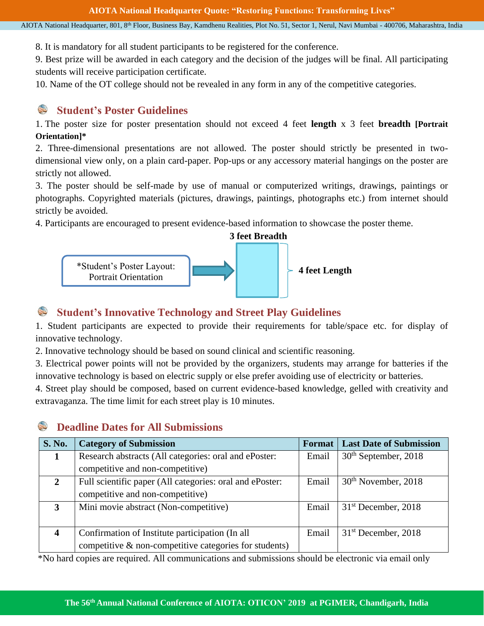8. It is mandatory for all student participants to be registered for the conference.

9. Best prize will be awarded in each category and the decision of the judges will be final. All participating students will receive participation certificate.

10. Name of the OT college should not be revealed in any form in any of the competitive categories.

### S **Student's Poster Guidelines**

1. The poster size for poster presentation should not exceed 4 feet **length** x 3 feet **breadth [Portrait Orientation]\***

2. Three-dimensional presentations are not allowed. The poster should strictly be presented in twodimensional view only, on a plain card-paper. Pop-ups or any accessory material hangings on the poster are strictly not allowed.

3. The poster should be self-made by use of manual or computerized writings, drawings, paintings or photographs. Copyrighted materials (pictures, drawings, paintings, photographs etc.) from internet should strictly be avoided.

4. Participants are encouraged to present evidence-based information to showcase the poster theme.



#### S **Student's Innovative Technology and Street Play Guidelines**

1. Student participants are expected to provide their requirements for table/space etc. for display of innovative technology.

2. Innovative technology should be based on sound clinical and scientific reasoning.

3. Electrical power points will not be provided by the organizers, students may arrange for batteries if the innovative technology is based on electric supply or else prefer avoiding use of electricity or batteries.

4. Street play should be composed, based on current evidence-based knowledge, gelled with creativity and extravaganza. The time limit for each street play is 10 minutes.

### S **Deadline Dates for All Submissions**

| S. No.                  | <b>Category of Submission</b>                             | Format | <b>Last Date of Submission</b> |
|-------------------------|-----------------------------------------------------------|--------|--------------------------------|
| 1                       | Research abstracts (All categories: oral and ePoster:     | Email  | $30th$ September, 2018         |
|                         | competitive and non-competitive)                          |        |                                |
| $\overline{2}$          | Full scientific paper (All categories: oral and ePoster:  | Email  | $30th$ November, 2018          |
|                         | competitive and non-competitive)                          |        |                                |
| 3                       | Mini movie abstract (Non-competitive)                     | Email  | $31st$ December, 2018          |
|                         |                                                           |        |                                |
| $\overline{\mathbf{4}}$ | Confirmation of Institute participation (In all           | Email  | $31st$ December, 2018          |
|                         | competitive $\&$ non-competitive categories for students) |        |                                |

\*No hard copies are required. All communications and submissions should be electronic via email only